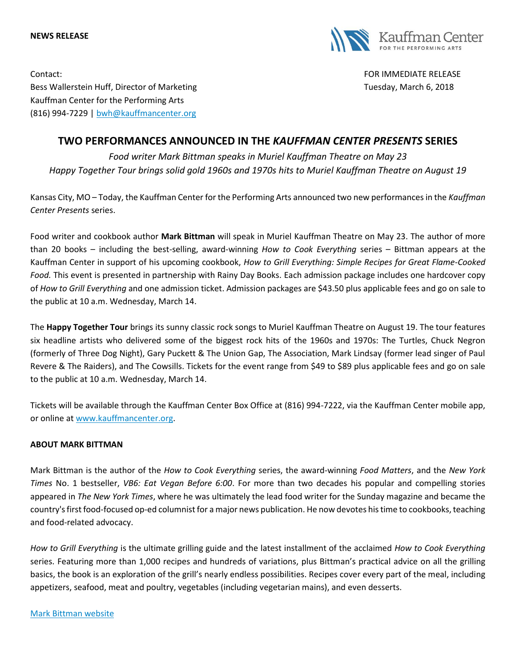#### **NEWS RELEASE**



Contact: FOR IMMEDIATE RELEASE Bess Wallerstein Huff, Director of Marketing Tuesday, March 6, 2018 Kauffman Center for the Performing Arts (816) 994-7229 | [bwh@kauffmancenter.org](mailto:bwh@kauffmancenter.org)

# **TWO PERFORMANCES ANNOUNCED IN THE** *KAUFFMAN CENTER PRESENTS* **SERIES**

*Food writer Mark Bittman speaks in Muriel Kauffman Theatre on May 23 Happy Together Tour brings solid gold 1960s and 1970s hits to Muriel Kauffman Theatre on August 19*

Kansas City, MO – Today, the Kauffman Center for the Performing Arts announced two new performances in the *Kauffman Center Presents* series.

Food writer and cookbook author **Mark Bittman** will speak in Muriel Kauffman Theatre on May 23. The author of more than 20 books – including the best-selling, award-winning *How to Cook Everything* series – Bittman appears at the Kauffman Center in support of his upcoming cookbook, *How to Grill Everything: Simple Recipes for Great Flame-Cooked Food.* This event is presented in partnership with Rainy Day Books. Each admission package includes one hardcover copy of *How to Grill Everything* and one admission ticket. Admission packages are \$43.50 plus applicable fees and go on sale to the public at 10 a.m. Wednesday, March 14.

The **Happy Together Tour** brings its sunny classic rock songs to Muriel Kauffman Theatre on August 19. The tour features six headline artists who delivered some of the biggest rock hits of the 1960s and 1970s: The Turtles, Chuck Negron (formerly of Three Dog Night), Gary Puckett & The Union Gap, The Association, Mark Lindsay (former lead singer of Paul Revere & The Raiders), and The Cowsills. Tickets for the event range from \$49 to \$89 plus applicable fees and go on sale to the public at 10 a.m. Wednesday, March 14.

Tickets will be available through the Kauffman Center Box Office at (816) 994-7222, via the Kauffman Center mobile app, or online at [www.kauffmancenter.org.](http://www.kauffmancenter.org/)

## **ABOUT MARK BITTMAN**

Mark Bittman is the author of the *How to Cook Everything* series, the award-winning *Food Matters*, and the *New York Times* No. 1 bestseller, *VB6: Eat Vegan Before 6:00*. For more than two decades his popular and compelling stories appeared in *The New York Times*, where he was ultimately the lead food writer for the Sunday magazine and became the country's first food-focused op-ed columnist for a major news publication. He now devotes his time to cookbooks, teaching and food-related advocacy.

*How to Grill Everything* is the ultimate grilling guide and the latest installment of the acclaimed *How to Cook Everything* series. Featuring more than 1,000 recipes and hundreds of variations, plus Bittman's practical advice on all the grilling basics, the book is an exploration of the grill's nearly endless possibilities. Recipes cover every part of the meal, including appetizers, seafood, meat and poultry, vegetables (including vegetarian mains), and even desserts.

[Mark Bittman website](http://markbittman.com/)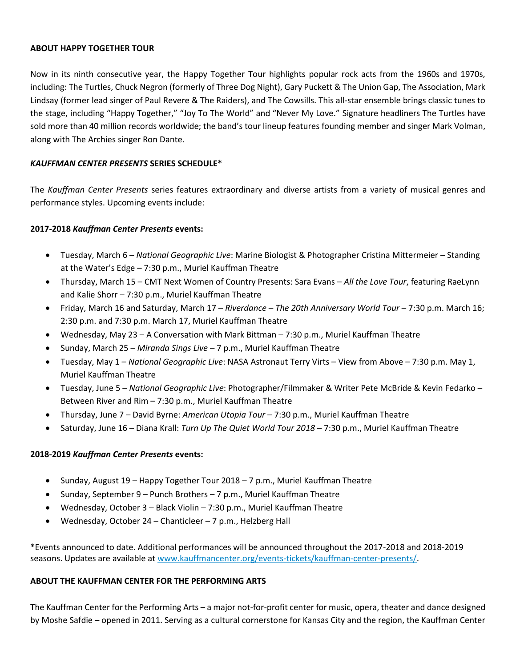#### **ABOUT HAPPY TOGETHER TOUR**

Now in its ninth consecutive year, the Happy Together Tour highlights popular rock acts from the 1960s and 1970s, including: The Turtles, Chuck Negron (formerly of Three Dog Night), Gary Puckett & The Union Gap, The Association, Mark Lindsay (former lead singer of Paul Revere & The Raiders), and The Cowsills. This all-star ensemble brings classic tunes to the stage, including "Happy Together," "Joy To The World" and "Never My Love." Signature headliners The Turtles have sold more than 40 million records worldwide; the band's tour lineup features founding member and singer Mark Volman, along with The Archies singer Ron Dante.

## *KAUFFMAN CENTER PRESENTS* **SERIES SCHEDULE\***

The *Kauffman Center Presents* series features extraordinary and diverse artists from a variety of musical genres and performance styles. Upcoming events include:

## **2017-2018** *Kauffman Center Presents* **events:**

- Tuesday, March 6 *National Geographic Live*: Marine Biologist & Photographer Cristina Mittermeier Standing at the Water's Edge – 7:30 p.m., Muriel Kauffman Theatre
- Thursday, March 15 CMT Next Women of Country Presents: Sara Evans *All the Love Tour*, featuring RaeLynn and Kalie Shorr – 7:30 p.m., Muriel Kauffman Theatre
- Friday, March 16 and Saturday, March 17 *Riverdance – The 20th Anniversary World Tour* 7:30 p.m. March 16; 2:30 p.m. and 7:30 p.m. March 17, Muriel Kauffman Theatre
- Wednesday, May 23 A Conversation with Mark Bittman 7:30 p.m., Muriel Kauffman Theatre
- Sunday, March 25 *Miranda Sings Live* 7 p.m., Muriel Kauffman Theatre
- Tuesday, May 1 *National Geographic Live*: NASA Astronaut Terry Virts View from Above 7:30 p.m. May 1, Muriel Kauffman Theatre
- Tuesday, June 5 *National Geographic Live*: Photographer/Filmmaker & Writer Pete McBride & Kevin Fedarko Between River and Rim – 7:30 p.m., Muriel Kauffman Theatre
- Thursday, June 7 David Byrne: *American Utopia Tour* 7:30 p.m., Muriel Kauffman Theatre
- Saturday, June 16 Diana Krall: *Turn Up The Quiet World Tour 2018* 7:30 p.m., Muriel Kauffman Theatre

## **2018-2019** *Kauffman Center Presents* **events:**

- Sunday, August 19 Happy Together Tour 2018 7 p.m., Muriel Kauffman Theatre
- Sunday, September 9 Punch Brothers 7 p.m., Muriel Kauffman Theatre
- Wednesday, October 3 Black Violin 7:30 p.m., Muriel Kauffman Theatre
- Wednesday, October 24 Chanticleer 7 p.m., Helzberg Hall

\*Events announced to date. Additional performances will be announced throughout the 2017-2018 and 2018-2019 seasons. Updates are available at [www.kauffmancenter.org/events-tickets/kauffman-center-presents/.](http://www.kauffmancenter.org/events-tickets/kauffman-center-presents/)

## **ABOUT THE KAUFFMAN CENTER FOR THE PERFORMING ARTS**

The Kauffman Center for the Performing Arts – a major not-for-profit center for music, opera, theater and dance designed by Moshe Safdie – opened in 2011. Serving as a cultural cornerstone for Kansas City and the region, the Kauffman Center